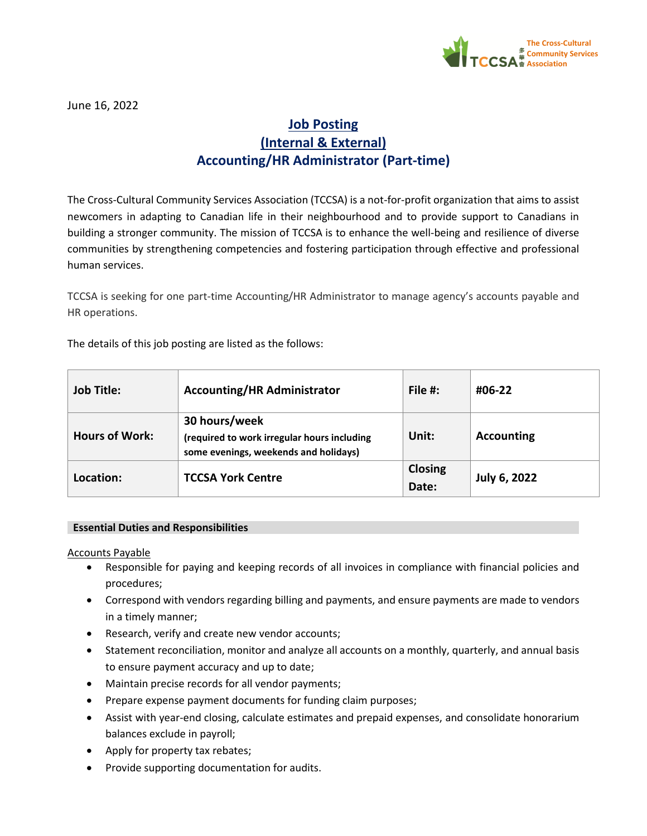

June 16, 2022

# **Job Posting (Internal & External) Accounting/HR Administrator (Part-time)**

The Cross-Cultural Community Services Association (TCCSA) is a not-for-profit organization that aims to assist newcomers in adapting to Canadian life in their neighbourhood and to provide support to Canadians in building a stronger community. The mission of TCCSA is to enhance the well-being and resilience of diverse communities by strengthening competencies and fostering participation through effective and professional human services.

TCCSA is seeking for one part-time Accounting/HR Administrator to manage agency's accounts payable and HR operations.

The details of this job posting are listed as the follows:

| <b>Job Title:</b>     | <b>Accounting/HR Administrator</b>                                                                    | File $#$ :       | #06-22            |
|-----------------------|-------------------------------------------------------------------------------------------------------|------------------|-------------------|
| <b>Hours of Work:</b> | 30 hours/week<br>(required to work irregular hours including<br>some evenings, weekends and holidays) | Unit:            | <b>Accounting</b> |
| Location:             | <b>TCCSA York Centre</b>                                                                              | Closing<br>Date: | July 6, 2022      |

# **Essential Duties and Responsibilities**

Accounts Payable

- Responsible for paying and keeping records of all invoices in compliance with financial policies and procedures;
- Correspond with vendors regarding billing and payments, and ensure payments are made to vendors in a timely manner;
- Research, verify and create new vendor accounts;
- Statement reconciliation, monitor and analyze all accounts on a monthly, quarterly, and annual basis to ensure payment accuracy and up to date;
- Maintain precise records for all vendor payments;
- Prepare expense payment documents for funding claim purposes;
- Assist with year-end closing, calculate estimates and prepaid expenses, and consolidate honorarium balances exclude in payroll;
- Apply for property tax rebates;
- Provide supporting documentation for audits.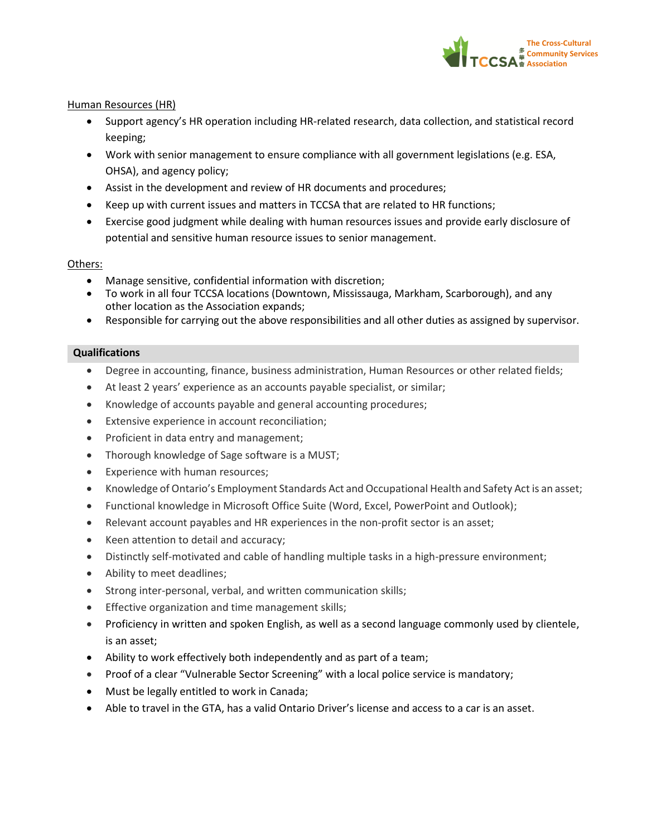

## Human Resources (HR)

- Support agency's HR operation including HR-related research, data collection, and statistical record keeping;
- Work with senior management to ensure compliance with all government legislations (e.g. ESA, OHSA), and agency policy;
- Assist in the development and review of HR documents and procedures;
- Keep up with current issues and matters in TCCSA that are related to HR functions;
- Exercise good judgment while dealing with human resources issues and provide early disclosure of potential and sensitive human resource issues to senior management.

#### Others:

- Manage sensitive, confidential information with discretion;
- To work in all four TCCSA locations (Downtown, Mississauga, Markham, Scarborough), and any other location as the Association expands;
- Responsible for carrying out the above responsibilities and all other duties as assigned by supervisor.

## **Qualifications**

- Degree in accounting, finance, business administration, Human Resources or other related fields;
- At least 2 years' experience as an accounts payable specialist, or similar;
- Knowledge of accounts payable and general accounting procedures;
- Extensive experience in account reconciliation;
- Proficient in data entry and management;
- Thorough knowledge of Sage software is a MUST;
- Experience with human resources;
- Knowledge of Ontario's Employment Standards Act and Occupational Health and Safety Act is an asset;
- Functional knowledge in Microsoft Office Suite (Word, Excel, PowerPoint and Outlook);
- Relevant account payables and HR experiences in the non-profit sector is an asset;
- Keen attention to detail and accuracy;
- Distinctly self-motivated and cable of handling multiple tasks in a high-pressure environment;
- Ability to meet deadlines;
- Strong inter-personal, verbal, and written communication skills;
- Effective organization and time management skills;
- Proficiency in written and spoken English, as well as a second language commonly used by clientele, is an asset;
- Ability to work effectively both independently and as part of a team;
- Proof of a clear "Vulnerable Sector Screening" with a local police service is mandatory;
- Must be legally entitled to work in Canada;
- Able to travel in the GTA, has a valid Ontario Driver's license and access to a car is an asset.